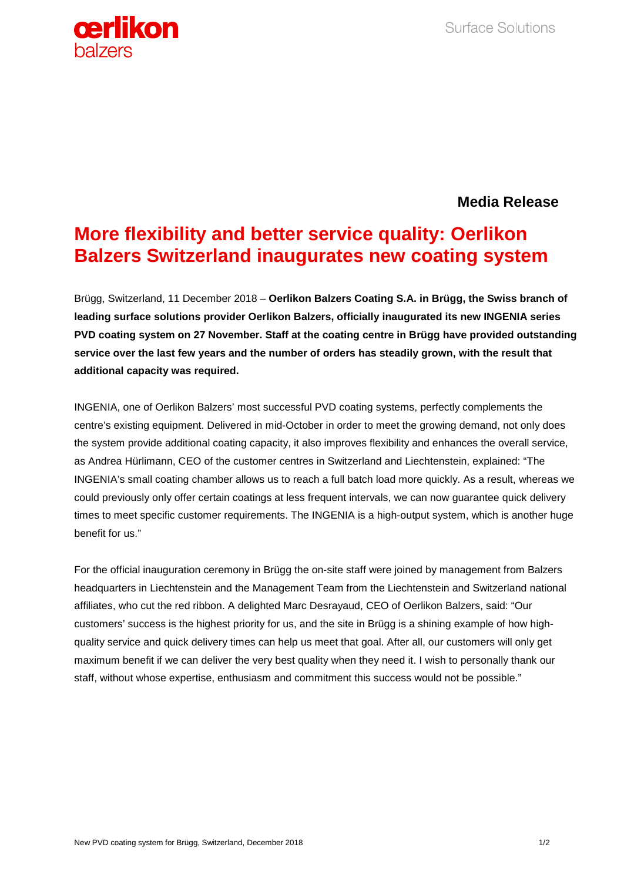

## **Media Release**

## **More flexibility and better service quality: Oerlikon Balzers Switzerland inaugurates new coating system**

Brügg, Switzerland, 11 December 2018 – **Oerlikon Balzers Coating S.A. in Brügg, the Swiss branch of leading surface solutions provider Oerlikon Balzers, officially inaugurated its new INGENIA series PVD coating system on 27 November. Staff at the coating centre in Brügg have provided outstanding service over the last few years and the number of orders has steadily grown, with the result that additional capacity was required.** 

INGENIA, one of Oerlikon Balzers' most successful PVD coating systems, perfectly complements the centre's existing equipment. Delivered in mid-October in order to meet the growing demand, not only does the system provide additional coating capacity, it also improves flexibility and enhances the overall service, as Andrea Hürlimann, CEO of the customer centres in Switzerland and Liechtenstein, explained: "The INGENIA's small coating chamber allows us to reach a full batch load more quickly. As a result, whereas we could previously only offer certain coatings at less frequent intervals, we can now guarantee quick delivery times to meet specific customer requirements. The INGENIA is a high-output system, which is another huge benefit for us."

For the official inauguration ceremony in Brügg the on-site staff were joined by management from Balzers headquarters in Liechtenstein and the Management Team from the Liechtenstein and Switzerland national affiliates, who cut the red ribbon. A delighted Marc Desrayaud, CEO of Oerlikon Balzers, said: "Our customers' success is the highest priority for us, and the site in Brügg is a shining example of how highquality service and quick delivery times can help us meet that goal. After all, our customers will only get maximum benefit if we can deliver the very best quality when they need it. I wish to personally thank our staff, without whose expertise, enthusiasm and commitment this success would not be possible."